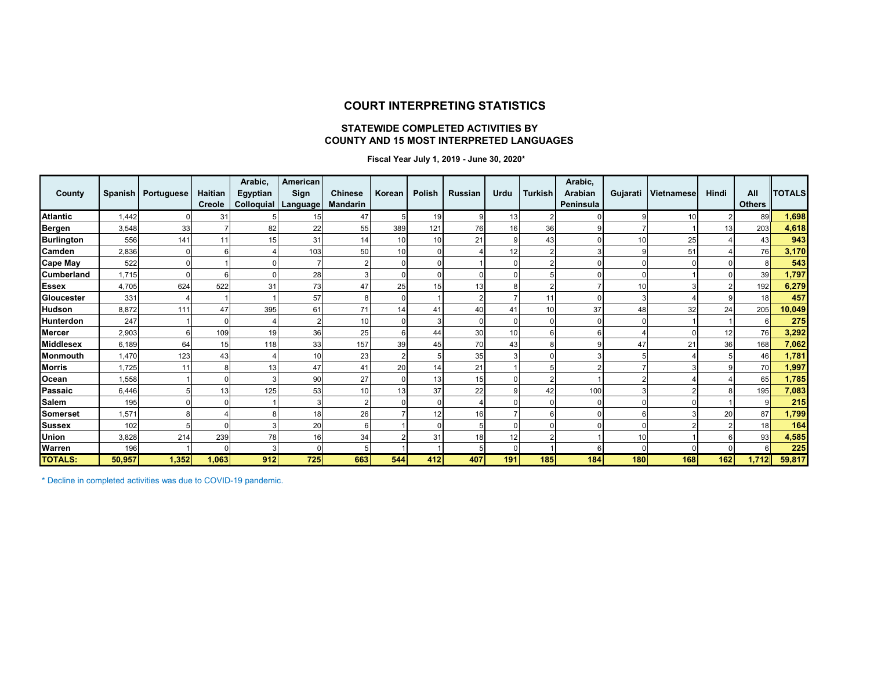#### **COURT INTERPRETING STATISTICS**

#### **STATEWIDE COMPLETED ACTIVITIES BY COUNTY AND 15 MOST INTERPRETED LANGUAGES**

 **Fiscal Year July 1, 2019 - June 30, 2020\***

| County            |        | Spanish   Portuguese | Haitian<br>Creole | Arabic,<br>Egyptian<br>Colloquial | American<br>Sign<br>Language | <b>Chinese</b><br><b>Mandarin</b> | Korean | Polish | <b>Russian</b> | Urdu     | <b>Turkish</b> | Arabic,<br>Arabian<br>Peninsula | Gujarati | Vietnamese | Hindi | All<br><b>Others</b> | <b>TOTALS</b> |
|-------------------|--------|----------------------|-------------------|-----------------------------------|------------------------------|-----------------------------------|--------|--------|----------------|----------|----------------|---------------------------------|----------|------------|-------|----------------------|---------------|
| <b>Atlantic</b>   | 1,442  |                      | 31                |                                   | 15                           | 47                                |        | 19     |                | 13       |                |                                 |          | 10         |       | 89                   | 1,698         |
| Bergen            | 3,548  | 33                   |                   | 82                                | 22                           | 55                                | 389    | 121    | 76             | 16       | 36             |                                 |          |            | 13    | 203                  | 4,618         |
| <b>Burlington</b> | 556    | 141                  | 11                | 15                                | 31                           | 14                                | 10     | 10     | 21             |          | 43             |                                 | 10       | 25         |       | 43                   | 943           |
| Camden            | 2,836  |                      |                   |                                   | 103                          | 50                                | 10     |        |                | 12       |                |                                 |          | 51         |       | 76                   | 3,170         |
| <b>Cape May</b>   | 522    |                      |                   |                                   |                              |                                   |        |        |                |          |                |                                 |          |            |       |                      | 543           |
| Cumberland        | 1,715  |                      | ี                 |                                   | 28                           |                                   |        |        |                |          |                |                                 |          |            |       | 39                   | 1,797         |
| <b>Essex</b>      | 4,705  | 624                  | 522               | 31                                | 73                           | 47                                | 25     | 15     | 13             |          |                |                                 | 10       |            |       | 192                  | 6,279         |
| Gloucester        | 331    |                      |                   |                                   | 57                           |                                   |        |        |                |          |                |                                 |          |            |       | 18                   | 457           |
| Hudson            | 8,872  | 111                  | 47                | 395                               | 61                           | 71                                |        | 41     | 40             | 41       | 10             | 37                              | 48       | 32         | 24    | 205                  | 10,049        |
| Hunterdon         | 247    |                      |                   |                                   |                              | 10                                |        |        |                |          |                |                                 |          |            |       |                      | 275           |
| <b>Mercer</b>     | 2,903  |                      | 109               | 19                                | 36                           | 25                                |        | 44     | 30             | 10       |                |                                 |          |            | 12    | 76                   | 3,292         |
| <b>Middlesex</b>  | 6,189  | 64                   | 15                | 118                               | 33                           | 157                               | 39     | 45     | 70             | 43       |                |                                 | 47       | 21         | 36    | 168                  | 7,062         |
| Monmouth          | 1,470  | 123                  | 43                |                                   | 10                           | 23                                |        |        | 35             |          |                |                                 |          |            |       | 46                   | 1,781         |
| <b>Morris</b>     | 1,725  | 11                   | 8                 | 13                                | 47                           | 41                                | 20     | 14     | 21             |          |                |                                 |          |            |       | 70                   | 1,997         |
| Ocean             | 1,558  |                      |                   |                                   | 90                           | 27                                |        | 13     | 15             |          |                |                                 |          |            |       | 65                   | 1,785         |
| Passaic           | 6.446  |                      | 13                | 125                               | 53                           | 10                                | 13     | 37     | 22             |          | 42             | 100                             |          |            |       | 195                  | 7,083         |
| <b>Salem</b>      | 195    |                      |                   |                                   |                              |                                   |        |        |                |          |                |                                 |          |            |       |                      | 215           |
| <b>Somerset</b>   | 1,571  |                      |                   |                                   | 18                           | 26                                |        | 12     | 16             |          |                |                                 |          |            | 20    | 87                   | 1,799         |
| <b>Sussex</b>     | 102    |                      |                   |                                   | 20                           |                                   |        |        |                |          |                |                                 |          |            |       | 18                   | 164           |
| Union             | 3,828  | 214                  | 239               | 78                                | 16                           | 34                                |        | 31     | 18             | 12       |                |                                 | 10       |            |       | 93                   | 4,585         |
| Warren            | 196    |                      |                   |                                   |                              |                                   |        |        |                | $\Omega$ |                | 6                               |          |            |       | 6                    | 225           |
| <b>TOTALS:</b>    | 50,957 | 1,352                | 1,063             | 912                               | 725                          | 663                               | 544    | 412    | 407            | 191      | 185            | 184                             | 180      | 168        | 162   | 1,712                | 59,817        |

\* Decline in completed activities was due to COVID-19 pandemic.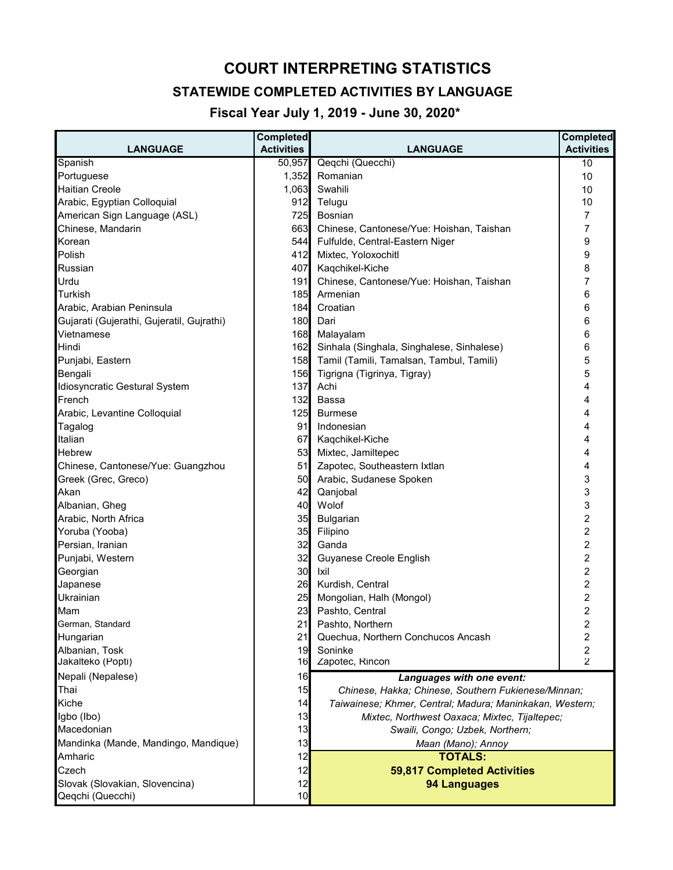# **COURT INTERPRETING STATISTICS**

## **STATEWIDE COMPLETED ACTIVITIES BY LANGUAGE**

 **Fiscal Year July 1, 2019 - June 30, 2020\***

| <b>LANGUAGE</b>                                    | <b>Completed</b><br><b>Activities</b> | <b>LANGUAGE</b>                                          | <b>Completed</b><br><b>Activities</b> |
|----------------------------------------------------|---------------------------------------|----------------------------------------------------------|---------------------------------------|
| Spanish                                            | 50,957                                | Qeqchi (Quecchi)                                         | 10                                    |
| Portuguese                                         | 1,352                                 | Romanian                                                 | 10                                    |
| <b>Haitian Creole</b>                              | 1,063                                 | Swahili                                                  | 10                                    |
| Arabic, Egyptian Colloquial                        | 912                                   | Telugu                                                   | 10                                    |
| American Sign Language (ASL)                       | 725                                   | Bosnian                                                  | 7                                     |
| Chinese, Mandarin                                  | 663                                   | Chinese, Cantonese/Yue: Hoishan, Taishan                 | 7                                     |
| Korean                                             | 544                                   | Fulfulde, Central-Eastern Niger                          | 9                                     |
| Polish                                             | 412                                   | Mixtec, Yoloxochitl                                      | 9                                     |
| Russian                                            | 407                                   | Kaqchikel-Kiche                                          | 8                                     |
| Urdu                                               | 191                                   | Chinese, Cantonese/Yue: Hoishan, Taishan                 | 7                                     |
| <b>Turkish</b>                                     | 185                                   | Armenian                                                 | 6                                     |
| Arabic, Arabian Peninsula                          | 184                                   | Croatian                                                 | 6                                     |
| Gujarati (Gujerathi, Gujeratil, Gujrathi)          | 180                                   | Dari                                                     | 6                                     |
| Vietnamese                                         | 168                                   | Malayalam                                                | 6                                     |
| Hindi                                              |                                       |                                                          |                                       |
|                                                    | 162                                   | Sinhala (Singhala, Singhalese, Sinhalese)                | 6                                     |
| Punjabi, Eastern                                   | 158                                   | Tamil (Tamili, Tamalsan, Tambul, Tamili)                 | 5                                     |
| Bengali                                            | 156                                   | Tigrigna (Tigrinya, Tigray)                              | 5                                     |
| Idiosyncratic Gestural System                      | 137                                   | Achi                                                     | 4                                     |
| French                                             | 132                                   | Bassa                                                    | 4                                     |
| Arabic, Levantine Colloquial                       | 125                                   | <b>Burmese</b>                                           | 4                                     |
| Tagalog                                            | 91                                    | Indonesian                                               | 4                                     |
| Italian                                            | 67                                    | Kaqchikel-Kiche                                          | 4                                     |
| Hebrew                                             | 53                                    | Mixtec, Jamiltepec                                       | 4                                     |
| Chinese, Cantonese/Yue: Guangzhou                  | 51                                    | Zapotec, Southeastern Ixtlan                             | 4                                     |
| Greek (Grec, Greco)                                | 50                                    | Arabic, Sudanese Spoken                                  | 3                                     |
| Akan                                               | 42                                    | Qanjobal                                                 | 3                                     |
| Albanian, Gheg                                     | 40                                    | Wolof                                                    | 3                                     |
| Arabic, North Africa                               | 35                                    | Bulgarian                                                | $\overline{\mathbf{c}}$               |
| Yoruba (Yooba)                                     | 35                                    | Filipino                                                 | $\overline{\mathbf{c}}$               |
| Persian, Iranian                                   | 32                                    | Ganda                                                    | $\overline{c}$                        |
| Punjabi, Western                                   | 32                                    | Guyanese Creole English                                  | $\overline{c}$                        |
| Georgian                                           | 30                                    | Ixil                                                     | 2                                     |
| Japanese                                           | 26                                    | Kurdish, Central                                         | 2                                     |
| Ukrainian                                          | 25                                    | Mongolian, Halh (Mongol)                                 | 2                                     |
| Mam                                                | 23                                    | Pashto, Central                                          | 2                                     |
| German, Standard                                   | 21                                    | Pashto, Northern                                         | 2                                     |
| Hungarian                                          | 21                                    | Quechua, Northern Conchucos Ancash                       | $\overline{\mathbf{c}}$               |
| Albanian, Tosk                                     | 19                                    | Soninke                                                  | $\overline{\mathbf{c}}$               |
| Jakalteko (Popti)                                  | 16                                    | Zapotec, Rincon                                          | $\overline{2}$                        |
| Nepali (Nepalese)                                  | 16                                    | Languages with one event:                                |                                       |
| Thai                                               | 15                                    | Chinese, Hakka; Chinese, Southern Fukienese/Minnan;      |                                       |
| Kiche                                              | 14                                    | Taiwainese; Khmer, Central; Madura; Maninkakan, Western; |                                       |
| Igbo (Ibo)                                         | 13                                    | Mixtec, Northwest Oaxaca; Mixtec, Tijaltepec;            |                                       |
| Macedonian                                         | 13                                    | Swaili, Congo; Uzbek, Northern;                          |                                       |
| Mandinka (Mande, Mandingo, Mandique)               | 13                                    |                                                          |                                       |
| Amharic                                            |                                       | Maan (Mano); Annoy                                       |                                       |
|                                                    | 12                                    | <b>TOTALS:</b>                                           |                                       |
| Czech                                              | 12                                    | 59,817 Completed Activities                              |                                       |
| Slovak (Slovakian, Slovencina)<br>Qeqchi (Quecchi) | 12<br>10                              | <b>94 Languages</b>                                      |                                       |